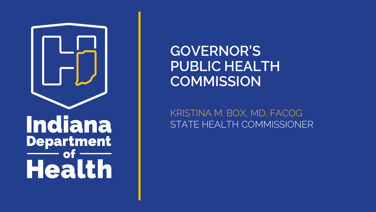

# Indiana **Department** of Health

## **GOVERNOR'S PUBLIC HEALTH COMMISSION**

KRISTINA M. BOX, MD, FACOG STATE HEALTH COMMISSIONER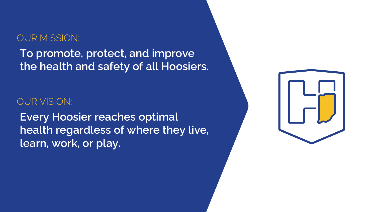#### OUR MISSION:

**To promote, protect, and improve the health and safety of all Hoosiers.**

#### OUR VISION:

**Every Hoosier reaches optimal health regardless of where they live, learn, work, or play.**

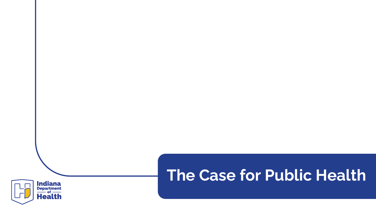

# **The Case for Public Health**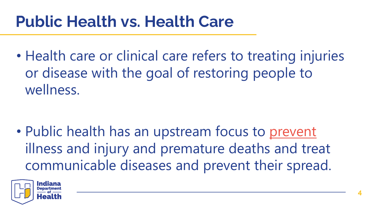# **Public Health vs. Health Care**

• Health care or clinical care refers to treating injuries or disease with the goal of restoring people to wellness.

• Public health has an upstream focus to prevent illness and injury and premature deaths and treat communicable diseases and prevent their spread.

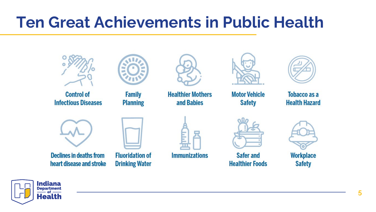# **Ten Great Achievements in Public Health**



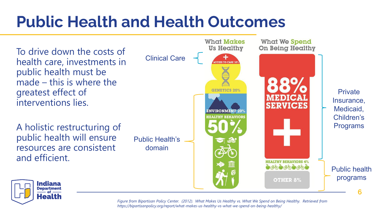# **Public Health and Health Outcomes**

To drive down the costs of health care, investments in public health must be made – this is where the greatest effect of interventions lies.

A holistic restructuring of public health will ensure resources are consistent and efficient.

Public Health's domain





*Figure from Bipartisan Policy Center. (2012). What Makes Us Healthy vs. What We Spend on Being Healthy. Retrieved from https://bipartisanpolicy.org/report/what-makes-us-healthy-vs-what-we-spend-on-being-healthy/*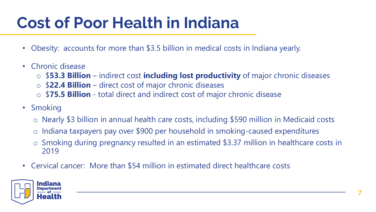# **Cost of Poor Health in Indiana**

- Obesity: accounts for more than \$3.5 billion in medical costs in Indiana yearly.
- Chronic disease
	- o \$**53.3 Billion**  indirect cost **including lost productivity** of major chronic diseases
	- o \$**22.4 Billion**  direct cost of major chronic diseases
	- o \$**75.5 Billion**  total direct and indirect cost of major chronic disease
- Smoking
	- o Nearly \$3 billion in annual health care costs, including \$590 million in Medicaid costs
	- o Indiana taxpayers pay over \$900 per household in smoking-caused expenditures
	- o Smoking during pregnancy resulted in an estimated \$3.37 million in healthcare costs in 2019
- Cervical cancer: More than \$54 million in estimated direct healthcare costs

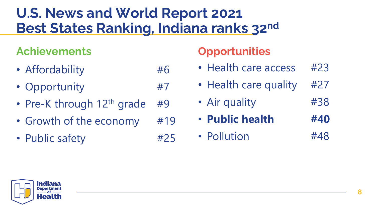## **U.S. News and World Report 2021 Best States Ranking, Indiana ranks 32nd**

### **Achievements Opportunities**

- Affordability #6
- Opportunity #7
- Pre-K through  $12<sup>th</sup>$  grade #9
- Growth of the economy #19
- Public safety #25

- Health care access #23
- Health care quality #27
- Air quality #38
- **Public health #40**
- Pollution #48

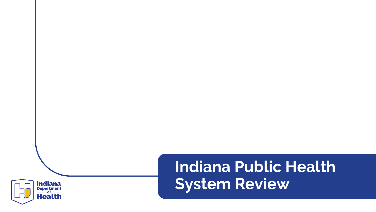

# **Indiana Public Health System Review**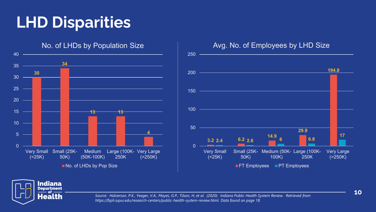# **LHD Disparities**







*Source: Halverson, P.K., Yeager, V.A., Mayes, G.P., Tilson, H, et al. (2020). Indiana Public Health System Review. Retrieved from https://fsph.iupui.edu/research-centers/public-health-system-review.html. Data found on page 18.* 

**10**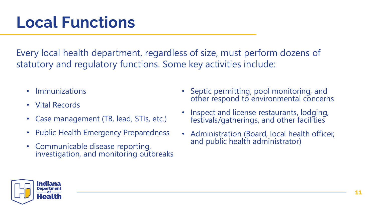# **Local Functions**

Every local health department, regardless of size, must perform dozens of statutory and regulatory functions. Some key activities include:

- Immunizations
- Vital Records
- Case management (TB, lead, STIs, etc.)
- Public Health Emergency Preparedness
- Communicable disease reporting, investigation, and monitoring outbreaks
- Septic permitting, pool monitoring, and other respond to environmental concerns
- Inspect and license restaurants, lodging, festivals/gatherings, and other facilities
- Administration (Board, local health officer, and public health administrator)

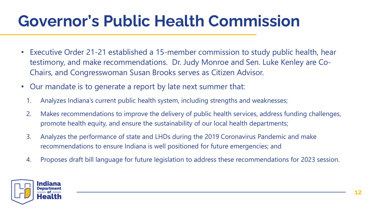# **Governor's Public Health Commission**

- Executive Order 21-21 established a 15-member commission to study public health, hear testimony, and make recommendations. Dr. Judy Monroe and Sen. Luke Kenley are Co-Chairs, and Congresswoman Susan Brooks serves as Citizen Advisor.
- Our mandate is to generate a report by late next summer that:
	- 1. Analyzes Indiana's current public health system, including strengths and weaknesses;
	- 2. Makes recommendations to improve the delivery of public health services, address funding challenges, promote health equity, and ensure the sustainability of our local health departments;
	- 3. Analyzes the performance of state and LHDs during the 2019 Coronavirus Pandemic and make recommendations to ensure Indiana is well positioned for future emergencies; and
	- 4. Proposes draft bill language for future legislation to address these recommendations for 2023 session.

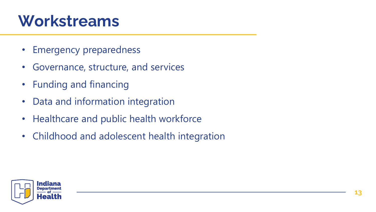# **Workstreams**

- Emergency preparedness
- Governance, structure, and services
- Funding and financing
- Data and information integration
- Healthcare and public health workforce
- Childhood and adolescent health integration